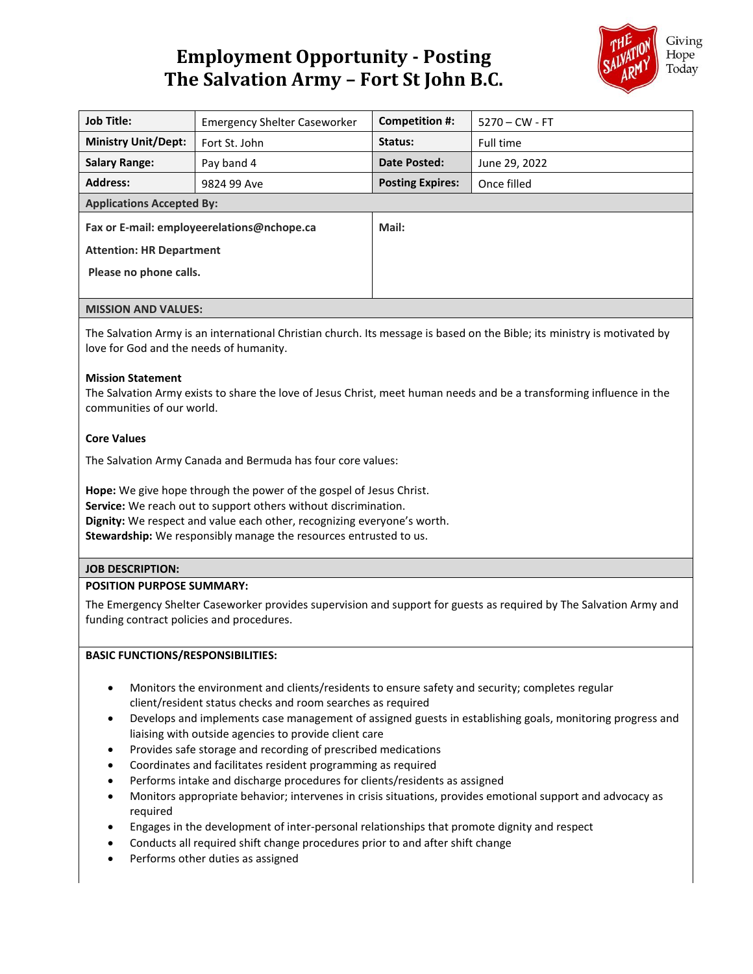# **Employment Opportunity - Posting The Salvation Army – Fort St John B.C.**



| <b>Job Title:</b>                          | <b>Emergency Shelter Caseworker</b> | Competition #:          | $5270 - CW - FT$ |
|--------------------------------------------|-------------------------------------|-------------------------|------------------|
| <b>Ministry Unit/Dept:</b>                 | Fort St. John                       | Status:                 | Full time        |
| <b>Salary Range:</b>                       | Pay band 4                          | Date Posted:            | June 29, 2022    |
| <b>Address:</b>                            | 9824 99 Ave                         | <b>Posting Expires:</b> | Once filled      |
| <b>Applications Accepted By:</b>           |                                     |                         |                  |
| Fax or E-mail: employeerelations@nchope.ca |                                     | Mail:                   |                  |
| <b>Attention: HR Department</b>            |                                     |                         |                  |
| Please no phone calls.                     |                                     |                         |                  |
|                                            |                                     |                         |                  |
| <b>MISSION AND VALUES:</b>                 |                                     |                         |                  |

The Salvation Army is an international Christian church. Its message is based on the Bible; its ministry is motivated by love for God and the needs of humanity.

#### **Mission Statement**

The Salvation Army exists to share the love of Jesus Christ, meet human needs and be a transforming influence in the communities of our world.

## **Core Values**

The Salvation Army Canada and Bermuda has four core values:

**Hope:** We give hope through the power of the gospel of Jesus Christ. **Service:** We reach out to support others without discrimination. **Dignity:** We respect and value each other, recognizing everyone's worth. **Stewardship:** We responsibly manage the resources entrusted to us.

# **JOB DESCRIPTION:**

#### **POSITION PURPOSE SUMMARY:**

The Emergency Shelter Caseworker provides supervision and support for guests as required by The Salvation Army and funding contract policies and procedures.

#### **BASIC FUNCTIONS/RESPONSIBILITIES:**

- Monitors the environment and clients/residents to ensure safety and security; completes regular client/resident status checks and room searches as required
- Develops and implements case management of assigned guests in establishing goals, monitoring progress and liaising with outside agencies to provide client care
- Provides safe storage and recording of prescribed medications
- Coordinates and facilitates resident programming as required
- Performs intake and discharge procedures for clients/residents as assigned
- Monitors appropriate behavior; intervenes in crisis situations, provides emotional support and advocacy as required
- Engages in the development of inter-personal relationships that promote dignity and respect
- Conducts all required shift change procedures prior to and after shift change
- Performs other duties as assigned